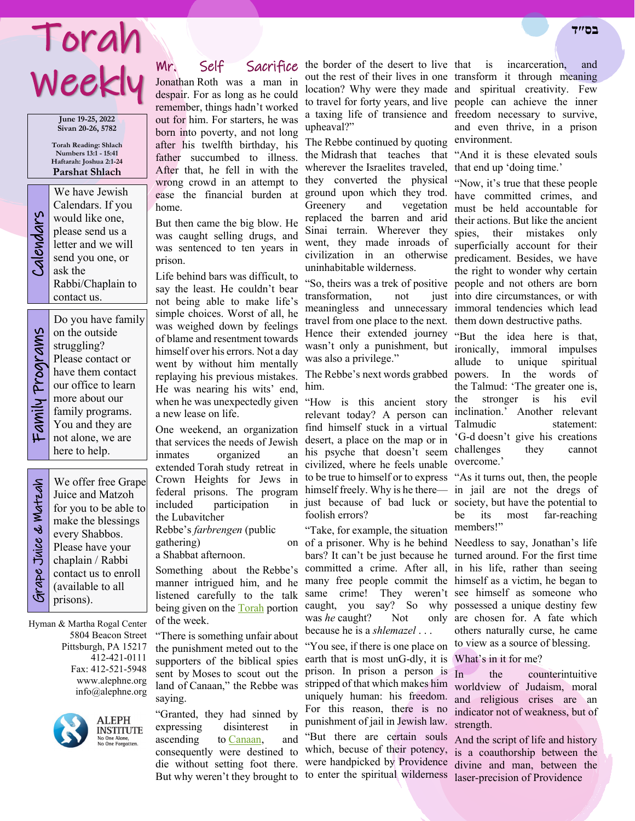# Torah **בס״ד**  Weekly

**June 19-25, 2022 Sivan 20-26, 5782**

**Torah Reading: Shlach Numbers 13:1 - 15:41 Haftarah: Joshua 2:1-24 Parshat Shlach**

We have Jewish<br>Calendars. If you<br>would like one,<br>please send us a<br>letter and we will<br>send you one, or<br>ask the Calendars. If you would like one, please send us a letter and we will send you one, or ask the Rabbi/Chaplain to contact us.

Do you have family Family Programs Family Programs on the outside struggling? Please contact or have them contact our office to learn more about our family programs. You and they are not alone, we are here to help.

Grape Juice & Matzah

ape Juice & Matzah

We offer free Grape Juice and Matzoh for you to be able to make the blessings every Shabbos. Please have your chaplain / Rabbi contact us to enroll (available to all prisons).

Hyman & Martha Rogal Center 5804 Beacon Street Pittsburgh, PA 15217 412-421-0111 Fax: 412-521-5948 www.alephne.org info@alephne.org



**ALEPH INSTITUTE** No One Alone,<br>No One Forgotten.

Jonathan Roth was a man in despair. For as long as he could remember, things hadn't worked out for him. For starters, he was born into poverty, and not long after his twelfth birthday, his father succumbed to illness. After that, he fell in with the wrong crowd in an attempt to ease the financial burden at ground upon which they trod. home.

But then came the big blow. He was caught selling drugs, and was sentenced to ten years in prison.

Life behind bars was difficult, to say the least. He couldn't bear not being able to make life's simple choices. Worst of all, he was weighed down by feelings of blame and resentment towards himself over his errors. Not a day went by without him mentally replaying his previous mistakes. He was nearing his wits' end, when he was unexpectedly given "How is this ancient story a new lease on life.

One weekend, an organization that services the needs of Jewish inmates organized an extended Torah study retreat in federal prisons. The program included participation in the Lubavitcher

Rebbe's *farbrengen* (public gathering)

a Shabbat afternoon.

Something about the Rebbe's listened carefully to the talk of the week.

"There is something unfair about the punishment meted out to the supporters of the biblical spies sent by Moses to scout out the land of Canaan," the Rebbe was saying.

"Granted, they had sinned by expressing disinterest in ascending to [Canaan,](https://www.chabad.org/library/article_cdo/aid/588018/jewish/Israel.htm) and consequently were destined to die without setting foot there. But why weren't they brought to to enter the spiritual wilderness laser-precision of Providence

Mr. Self Sacrifice the border of the desert to live out the rest of their lives in one transform it through meaning location? Why were they made and spiritual creativity. Few to travel for forty years, and live people can achieve the inner a taxing life of transience and freedom necessary to survive, upheaval?"

> The Rebbe continued by quoting the Midrash that teaches that wherever the Israelites traveled, that end up 'doing time.' they converted the physical "Now, it's true that these people Greenery and vegetation replaced the barren and arid Sinai terrain. Wherever they went, they made inroads of civilization in an otherwise uninhabitable wilderness.

transformation, not travel from one place to the next. them down destructive paths. Hence their extended journey wasn't only a punishment, but was also a privilege."

The Rebbe's next words grabbed powers. In the words of him.

Crown Heights for Jews in to be true to himself or to express "As it turns out, then, the people relevant today? A person can find himself stuck in a virtual desert, a place on the map or in his psyche that doesn't seem civilized, where he feels unable himself freely. Why is he there— in jail are not the dregs of just because of bad luck or society, but have the potential to foolish errors?

manner intrigued him, and he many free people commit the himself as a victim, he began to being given on the **[Torah](https://www.chabad.org/library/article_cdo/aid/1426382/jewish/Torah.htm)** portion caught, you say? So why possessed a unique destiny few "Take, for example, the situation members!" of a prisoner. Why is he behind Needless to say, Jonathan's life bars? It can't be just because he turned around. For the first time committed a crime. After all, in his life, rather than seeing same crime! They weren't see himself as someone who was *he* caught? Not because he is a *shlemazel* . . .

> "You see, if there is one place on earth that is most unG-dly, it is What's in it for me? prison. In prison a person is In For this reason, there is no indicator not of weakness, but of punishment of jail in Jewish law. strength. "But there are certain souls And the script of life and history

incarceration, and and even thrive, in a prison environment.

"And it is these elevated souls

"So, theirs was a trek of positive people and not others are born meaningless and unnecessary immoral tendencies which lead have committed crimes, and must be held accountable for their actions. But like the ancient spies, their mistakes only superficially account for their predicament. Besides, we have the right to wonder why certain just into dire circumstances, or with

> "But the idea here is that, ironically, immoral impulses allude to unique spiritual the Talmud: 'The greater one is, the stronger is his evil inclination.' Another relevant Talmudic statement: 'G-d doesn't give his creations challenges they cannot overcome.'

be its most far-reaching

only are chosen for. A fate which others naturally curse, he came to view as a source of blessing.

stripped of that which makes him worldview of Judaism, moral uniquely human: his freedom. and religious crises are an the counterintuitive

which, becuse of their potency, is a coauthorship between the were handpicked by Providence divine and man, between the